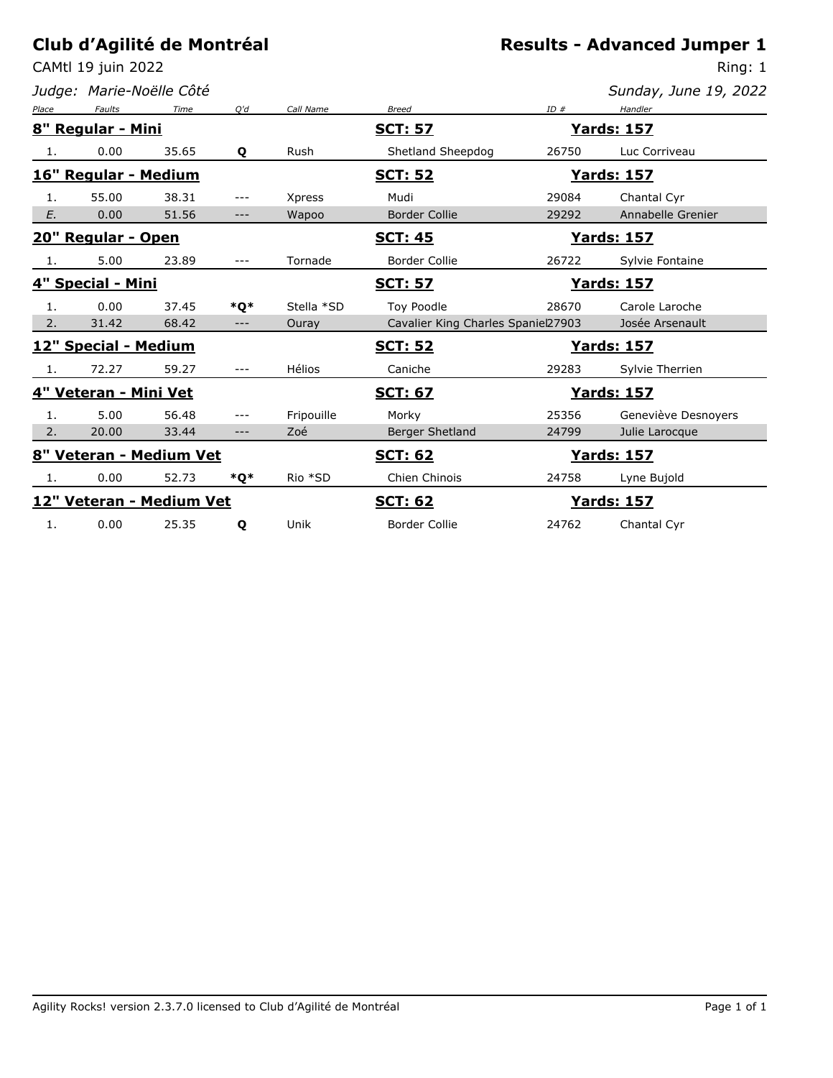CAMtl 19 juin 2022

*Judge: Marie-Noëlle Côté*

Ring: 1

| Place | <b>Faults</b>         | Time                     | O'd   | Call Name     | <b>Breed</b>                         | ID#                | Handler             |
|-------|-----------------------|--------------------------|-------|---------------|--------------------------------------|--------------------|---------------------|
|       | 8" Regular - Mini     |                          |       |               | <u>SCT: 57</u>                       |                    | <u> Yards: 157</u>  |
| 1.    | 0.00                  | 35.65                    | Q     | Rush          | Shetland Sheepdog                    | 26750              | Luc Corriveau       |
|       | 16" Regular - Medium  |                          |       |               | <u>SCT: 52</u><br><u> Yards: 157</u> |                    |                     |
| 1.    | 55.00                 | 38.31                    | ---   | <b>Xpress</b> | Mudi                                 | 29084              | Chantal Cyr         |
| E.    | 0.00                  | 51.56                    | $---$ | Wapoo         | <b>Border Collie</b>                 | 29292              | Annabelle Grenier   |
|       | 20" Regular - Open    |                          |       |               | <b>SCT: 45</b>                       |                    | <u>Yards: 157</u>   |
| 1.    | 5.00                  | 23.89                    | $---$ | Tornade       | <b>Border Collie</b>                 | 26722              | Sylvie Fontaine     |
|       | 4" Special - Mini     |                          |       |               | <u>SCT: 57</u>                       |                    | <u> Yards: 157</u>  |
| 1.    | 0.00                  | 37.45                    | *O*   | Stella *SD    | Toy Poodle                           | 28670              | Carole Laroche      |
| 2.    | 31.42                 | 68.42                    | $---$ | Ouray         | Cavalier King Charles Spaniel27903   |                    | Josée Arsenault     |
|       | 12" Special - Medium  |                          |       |               | <b>SCT: 52</b>                       |                    | <u>Yards: 157</u>   |
| 1.    | 72.27                 | 59.27                    | $---$ | Hélios        | Caniche                              | 29283              | Sylvie Therrien     |
|       | 4" Veteran - Mini Vet |                          |       |               | <u>SCT: 67</u>                       | <u>Yards: 157</u>  |                     |
| 1.    | 5.00                  | 56.48                    | $---$ | Fripouille    | Morky                                | 25356              | Geneviève Desnoyers |
| 2.    | 20.00                 | 33.44                    | $---$ | Zoé           | Berger Shetland                      | 24799              | Julie Larocque      |
|       |                       | 8" Veteran - Medium Vet  |       |               | <b>SCT: 62</b>                       | <u> Yards: 157</u> |                     |
| 1.    | 0.00                  | 52.73                    | *Q*   | Rio *SD       | Chien Chinois                        | 24758              | Lyne Bujold         |
|       |                       | 12" Veteran - Medium Vet |       |               | <b>SCT: 62</b>                       |                    | <u> Yards: 157</u>  |
| 1.    | 0.00                  | 25.35                    | Q     | Unik          | <b>Border Collie</b>                 | 24762              | Chantal Cyr         |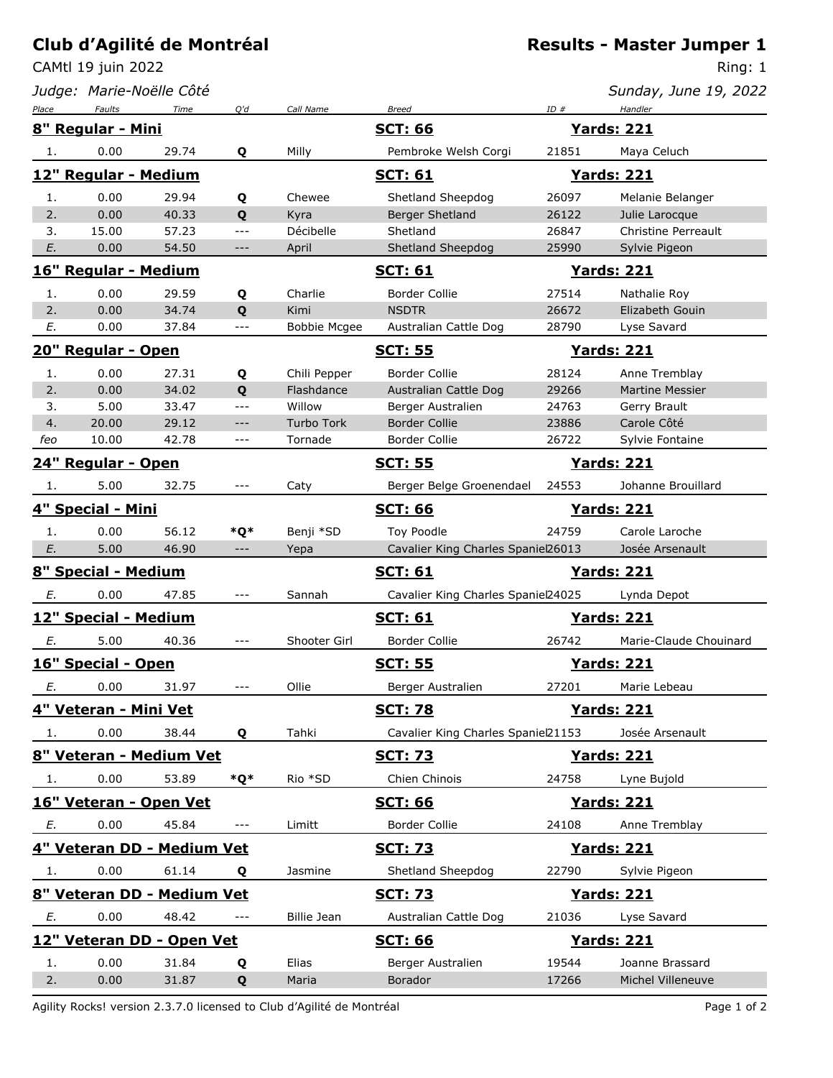CAMtl 19 juin 2022

*Judge: Marie-Noëlle Côté*

Ring: 1

| Sunday, June 19, 2022 |  |  |  |
|-----------------------|--|--|--|
|-----------------------|--|--|--|

| Place | Faults                    | Time                       | Q'd                 | Call Name           | <b>Breed</b>                       | ID#   | Handler                |
|-------|---------------------------|----------------------------|---------------------|---------------------|------------------------------------|-------|------------------------|
|       | 8" Regular - Mini         |                            |                     |                     | <b>SCT: 66</b>                     |       | <b>Yards: 221</b>      |
| 1.    | 0.00                      | 29.74                      | Q                   | Milly               | Pembroke Welsh Corgi               | 21851 | Maya Celuch            |
|       | 12" Regular - Medium      |                            |                     |                     | <b>SCT: 61</b>                     |       | <b>Yards: 221</b>      |
| 1.    | 0.00                      | 29.94                      | Q                   | Chewee              | Shetland Sheepdog                  | 26097 | Melanie Belanger       |
| 2.    | 0.00                      | 40.33                      | Q                   | Kyra                | Berger Shetland                    | 26122 | Julie Larocque         |
| 3.    | 15.00                     | 57.23                      | $ -$                | Décibelle           | Shetland                           | 26847 | Christine Perreault    |
| E.    | 0.00                      | 54.50                      | ---                 | April               | Shetland Sheepdog                  | 25990 | Sylvie Pigeon          |
|       | 16" Regular - Medium      |                            |                     |                     | <u>SCT: 61</u>                     |       | <b>Yards: 221</b>      |
| 1.    | 0.00                      | 29.59                      | Q                   | Charlie             | <b>Border Collie</b>               | 27514 | Nathalie Roy           |
| 2.    | 0.00                      | 34.74                      | Q                   | Kimi                | <b>NSDTR</b>                       | 26672 | Elizabeth Gouin        |
| Е.    | 0.00                      | 37.84                      | ---                 | <b>Bobbie Mcgee</b> | Australian Cattle Dog              | 28790 | Lyse Savard            |
|       | 20" Regular - Open        |                            |                     |                     | <b>SCT: 55</b>                     |       | <b>Yards: 221</b>      |
| 1.    | 0.00                      | 27.31                      | Q                   | Chili Pepper        | <b>Border Collie</b>               | 28124 | Anne Tremblay          |
| 2.    | 0.00                      | 34.02                      | Q                   | Flashdance          | Australian Cattle Dog              | 29266 | <b>Martine Messier</b> |
| 3.    | 5.00                      | 33.47                      | $ -$                | Willow              | Berger Australien                  | 24763 | Gerry Brault           |
| 4.    | 20.00                     | 29.12                      | $---$               | Turbo Tork          | <b>Border Collie</b>               | 23886 | Carole Côté            |
| feo   | 10.00                     | 42.78                      | $---$               | Tornade             | <b>Border Collie</b>               | 26722 | Sylvie Fontaine        |
|       | <b>24" Regular - Open</b> |                            |                     |                     | <b>SCT: 55</b>                     |       | <b>Yards: 221</b>      |
| 1.    | 5.00                      | 32.75                      | $\qquad \qquad - -$ | Caty                | Berger Belge Groenendael           | 24553 | Johanne Brouillard     |
|       | 4" Special - Mini         |                            |                     |                     | <b>SCT: 66</b>                     |       | <b>Yards: 221</b>      |
| 1.    | 0.00                      | 56.12                      | *Q*                 | Benji *SD           | Toy Poodle                         | 24759 | Carole Laroche         |
| E.    | 5.00                      | 46.90                      | $\cdots$            | Yepa                | Cavalier King Charles Spaniel26013 |       | Josée Arsenault        |
|       | 8" Special - Medium       |                            |                     |                     | <b>SCT: 61</b>                     |       | <b>Yards: 221</b>      |
| Е.    | 0.00                      | 47.85                      | $---$               | Sannah              | Cavalier King Charles Spaniel24025 |       | Lynda Depot            |
|       | 12" Special - Medium      |                            |                     |                     | <u>SCT: 61</u>                     |       | <u>Yards: 221</u>      |
| Е.    | 5.00                      | 40.36                      | $---$               | Shooter Girl        | <b>Border Collie</b>               | 26742 | Marie-Claude Chouinard |
|       | 16" Special - Open        |                            |                     |                     | <u>SCT: 55</u>                     |       | <u>Yards: 221</u>      |
| E.    | 0.00                      | 31.97                      | ---                 | Ollie               | Berger Australien                  | 27201 | Marie Lebeau           |
|       | 4" Veteran - Mini Vet     |                            |                     |                     | <b>SCT: 78</b>                     |       | <b>Yards: 221</b>      |
| 1.    | 0.00                      | 38.44                      | Q                   | Tahki               | Cavalier King Charles Spaniel21153 |       | Josée Arsenault        |
|       |                           | 8" Veteran - Medium Vet    |                     |                     | <u>SCT: 73</u>                     |       | <b>Yards: 221</b>      |
| 1.    | 0.00                      | 53.89                      | *Q*                 | Rio *SD             | Chien Chinois                      | 24758 | Lyne Bujold            |
|       | 16" Veteran - Open Vet    |                            |                     |                     | <b>SCT: 66</b>                     |       | <b>Yards: 221</b>      |
| E.    | 0.00                      | 45.84                      | $---$               | Limitt              | Border Collie                      | 24108 | Anne Tremblay          |
|       |                           | 4" Veteran DD - Medium Vet |                     |                     | <b>SCT: 73</b>                     |       | <b>Yards: 221</b>      |
| 1.    | 0.00                      | 61.14                      | Q                   | Jasmine             | Shetland Sheepdog                  | 22790 | Sylvie Pigeon          |
|       |                           | 8" Veteran DD - Medium Vet |                     |                     | <b>SCT: 73</b>                     |       | <b>Yards: 221</b>      |
| Ε.    | 0.00                      | 48.42                      |                     | Billie Jean         | Australian Cattle Dog              | 21036 | Lyse Savard            |
|       |                           | 12" Veteran DD - Open Vet  |                     |                     | <b>SCT: 66</b>                     |       | <u>Yards: 221</u>      |
| 1.    | 0.00                      | 31.84                      | Q                   | Elias               | Berger Australien                  | 19544 | Joanne Brassard        |
| 2.    | 0.00                      | 31.87                      | Q                   | Maria               | <b>Borador</b>                     | 17266 | Michel Villeneuve      |

Agility Rocks! version 2.3.7.0 licensed to Club d'Agilité de Montréal entre la page 1 of 2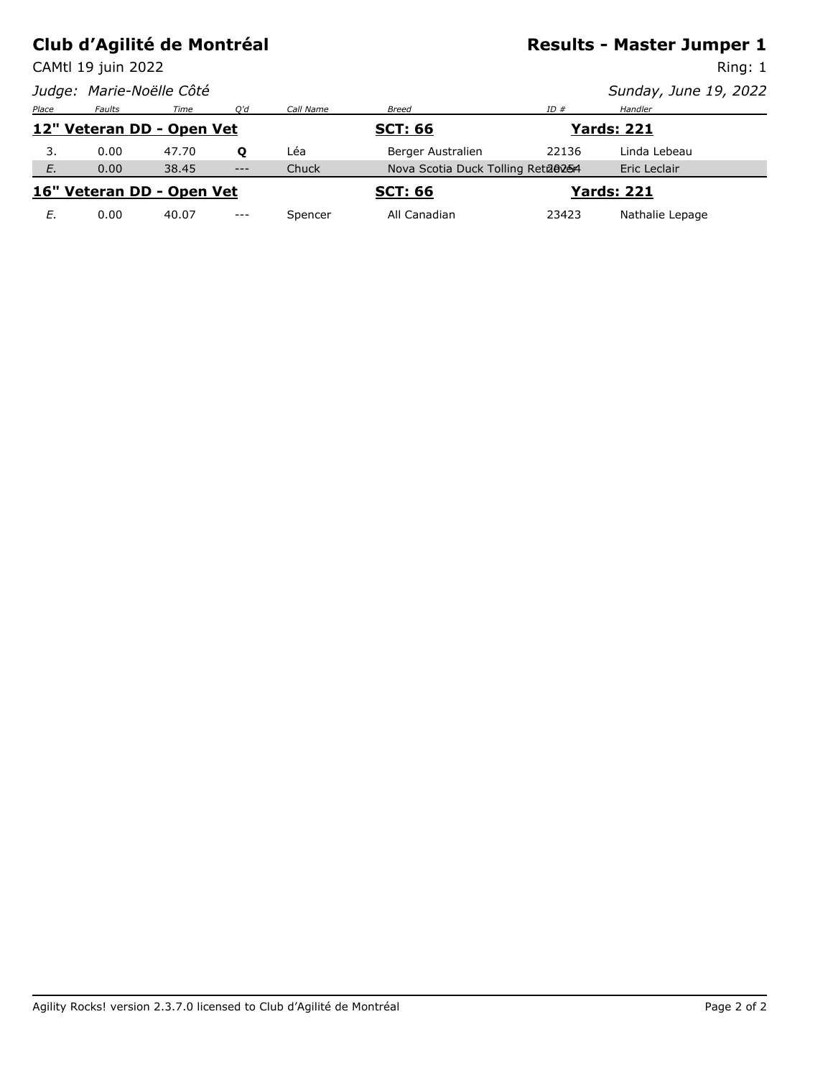CAMtl 19 juin 2022

### **Results - Master Jumper 1**

Ring: 1

|       |               | Judge: Marie-Noëlle Côté  |       |              |                                   |       | Sunday, June 19, 2022 |  |
|-------|---------------|---------------------------|-------|--------------|-----------------------------------|-------|-----------------------|--|
| Place | <b>Faults</b> | Time                      | O'd   | Call Name    | <b>Breed</b>                      | ID#   | Handler               |  |
|       |               | 12" Veteran DD - Open Vet |       |              | <b>SCT: 66</b>                    |       | <b>Yards: 221</b>     |  |
| 3.    | 0.00          | 47.70                     | o     | Léa          | Berger Australien                 | 22136 | Linda Lebeau          |  |
| E.    | 0.00          | 38.45                     | $---$ | <b>Chuck</b> | Nova Scotia Duck Tolling Reta@254 |       | Eric Leclair          |  |
|       |               | 16" Veteran DD - Open Vet |       |              | <b>SCT: 66</b>                    |       | <b>Yards: 221</b>     |  |
| Е.    | 0.00          | 40.07                     | $---$ | Spencer      | All Canadian                      | 23423 | Nathalie Lepage       |  |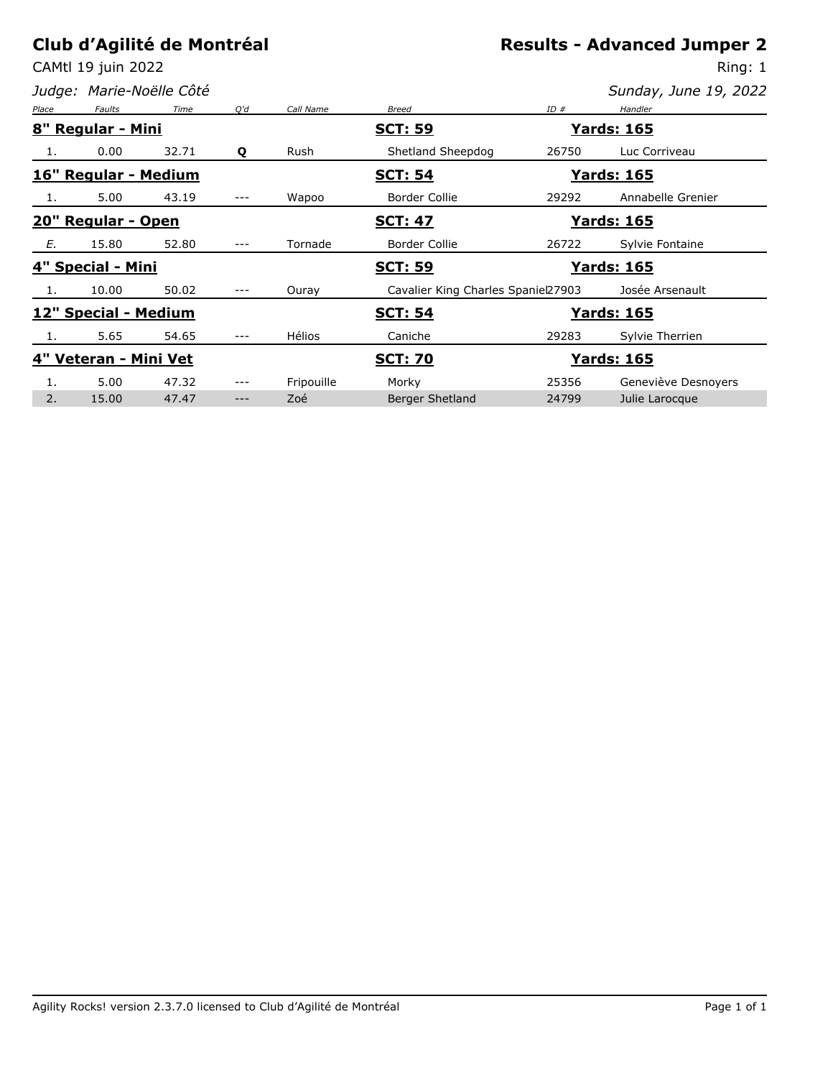CAMtl 19 juin 2022

*Judge: Marie-Noëlle Côté*

Ring: 1

| Place | <b>Faults</b>         | Time  | O'd   | Call Name     | <b>Breed</b>                         | ID#   | Handler             |
|-------|-----------------------|-------|-------|---------------|--------------------------------------|-------|---------------------|
|       | 8" Regular - Mini     |       |       |               | <b>SCT: 59</b>                       |       | <b>Yards: 165</b>   |
|       | 0.00                  | 32.71 | Q     | Rush          | Shetland Sheepdog                    | 26750 | Luc Corriveau       |
|       | 16" Regular - Medium  |       |       |               | <u> Yards: 165</u><br><b>SCT: 54</b> |       |                     |
| 1.    | 5.00                  | 43.19 | ---   | Wapoo         | <b>Border Collie</b>                 | 29292 | Annabelle Grenier   |
|       | 20" Regular - Open    |       |       |               | <b>SCT: 47</b>                       |       | <b>Yards: 165</b>   |
| Е.    | 15.80                 | 52.80 | $---$ | Tornade       | Border Collie                        | 26722 | Sylvie Fontaine     |
|       | 4" Special - Mini     |       |       |               | <b>SCT: 59</b>                       |       | <b>Yards: 165</b>   |
| 1.    | 10.00                 | 50.02 | ---   | Ouray         | Cavalier King Charles Spaniel27903   |       | Josée Arsenault     |
|       | 12" Special - Medium  |       |       |               | <b>SCT: 54</b>                       |       | <b>Yards: 165</b>   |
|       | 5.65                  | 54.65 | ---   | <b>Hélios</b> | Caniche                              | 29283 | Sylvie Therrien     |
|       | 4" Veteran - Mini Vet |       |       |               | <b>Yards: 165</b><br><b>SCT: 70</b>  |       |                     |
|       | 5.00                  | 47.32 | ---   | Fripouille    | Morky                                | 25356 | Geneviève Desnoyers |
| 2.    | 15.00                 | 47.47 | ---   | Zoé           | <b>Berger Shetland</b>               | 24799 | Julie Larocque      |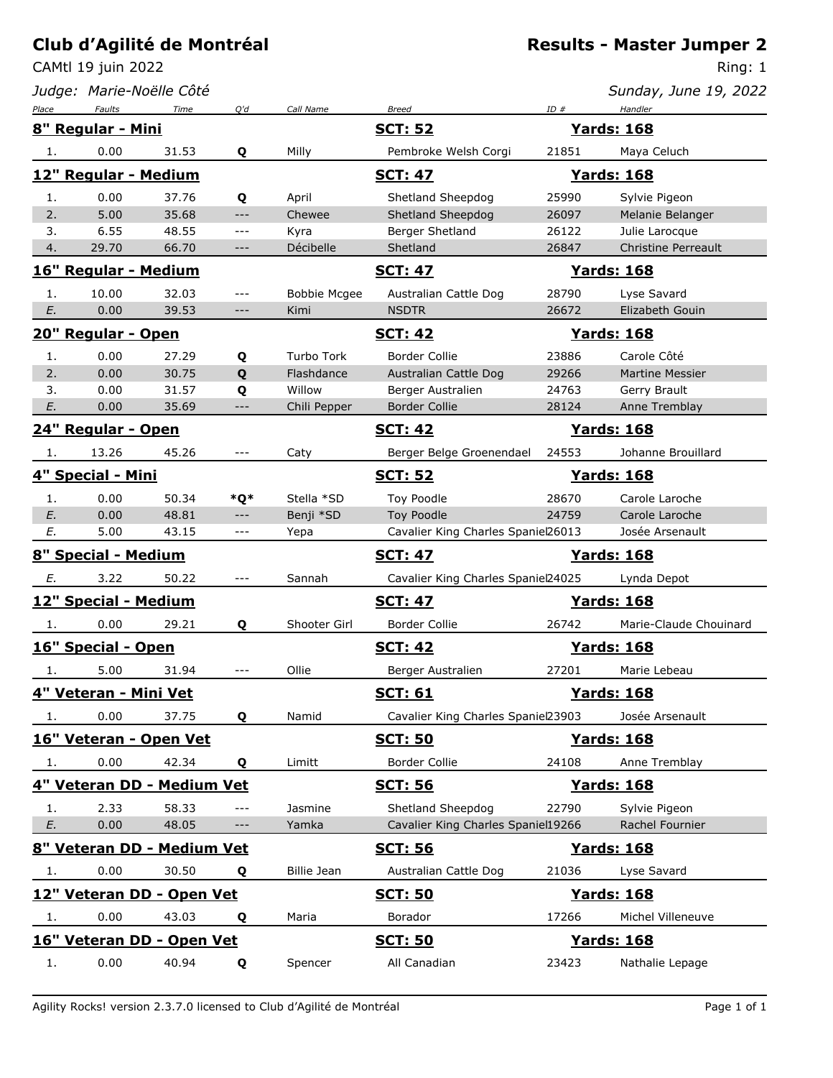CAMtl 19 juin 2022

*Judge: Marie-Noëlle Côté*

Ring: 1

| Sunday, June 19, 2022 |  |
|-----------------------|--|
|-----------------------|--|

| Place                      | <b>Faults</b>              | Time  | O'd                 | Call Name           | <b>Breed</b>                       | ID#   | Handler                    |
|----------------------------|----------------------------|-------|---------------------|---------------------|------------------------------------|-------|----------------------------|
|                            | 8" Regular - Mini          |       |                     |                     | <b>SCT: 52</b>                     |       | <b>Yards: 168</b>          |
| 1.                         | 0.00                       | 31.53 | Q                   | Milly               | Pembroke Welsh Corgi               | 21851 | Maya Celuch                |
|                            | 12" Regular - Medium       |       |                     |                     | <b>SCT: 47</b>                     |       | <b>Yards: 168</b>          |
| 1.                         | 0.00                       | 37.76 | Q                   | April               | Shetland Sheepdog                  | 25990 | Sylvie Pigeon              |
| 2.                         | 5.00                       | 35.68 | $\qquad \qquad - -$ | Chewee              | Shetland Sheepdog                  | 26097 | Melanie Belanger           |
| 3.                         | 6.55                       | 48.55 | $\overline{a}$      | Kyra                | Berger Shetland                    | 26122 | Julie Larocque             |
| 4.                         | 29.70                      | 66.70 | $---$               | Décibelle           | Shetland                           | 26847 | <b>Christine Perreault</b> |
|                            | 16" Regular - Medium       |       |                     |                     | <b>SCT: 47</b>                     |       | <b>Yards: 168</b>          |
| 1.                         | 10.00                      | 32.03 | $---$               | <b>Bobbie Mcgee</b> | Australian Cattle Dog              | 28790 | Lyse Savard                |
| E.                         | 0.00                       | 39.53 | $---$               | Kimi                | <b>NSDTR</b>                       | 26672 | Elizabeth Gouin            |
|                            | 20" Regular - Open         |       |                     |                     | <b>SCT: 42</b>                     |       | <b>Yards: 168</b>          |
| 1.                         | 0.00                       | 27.29 | Q                   | <b>Turbo Tork</b>   | <b>Border Collie</b>               | 23886 | Carole Côté                |
| 2.                         | 0.00                       | 30.75 | Q                   | Flashdance          | Australian Cattle Dog              | 29266 | <b>Martine Messier</b>     |
| 3.                         | 0.00                       | 31.57 | Q                   | Willow              | Berger Australien                  | 24763 | Gerry Brault               |
| E.                         | 0.00                       | 35.69 | $---$               | Chili Pepper        | <b>Border Collie</b>               | 28124 | Anne Tremblay              |
|                            | 24" Regular - Open         |       |                     |                     | <b>SCT: 42</b>                     |       | <b>Yards: 168</b>          |
| 1.                         | 13.26                      | 45.26 | $---$               | Caty                | Berger Belge Groenendael           | 24553 | Johanne Brouillard         |
|                            | 4" Special - Mini          |       |                     |                     | <b>SCT: 52</b>                     |       | <b>Yards: 168</b>          |
| 1.                         | 0.00                       | 50.34 | *Q*                 | Stella *SD          | Toy Poodle                         | 28670 | Carole Laroche             |
| E.                         | 0.00                       | 48.81 | $---$               | Benji *SD           | Toy Poodle                         | 24759 | Carole Laroche             |
| Ε.                         | 5.00                       | 43.15 | $- - -$             | Yepa                | Cavalier King Charles Spaniel26013 |       | Josée Arsenault            |
| 8" Special - Medium        |                            |       |                     |                     | <b>SCT: 47</b>                     |       | <b>Yards: 168</b>          |
| E.                         | 3.22                       | 50.22 | $---$               | Sannah              | Cavalier King Charles Spaniel24025 |       | Lynda Depot                |
|                            | 12" Special - Medium       |       |                     |                     | <b>SCT: 47</b>                     |       | <b>Yards: 168</b>          |
| -1.                        | 0.00                       | 29.21 | Q                   | Shooter Girl        | <b>Border Collie</b>               | 26742 | Marie-Claude Chouinard     |
|                            | 16" Special - Open         |       |                     |                     | <b>SCT: 42</b>                     |       | <u> Yards: 168</u>         |
| 1.                         | 5.00                       | 31.94 | $---$               | Ollie               | Berger Australien                  | 27201 | Marie Lebeau               |
|                            | 4" Veteran - Mini Vet      |       |                     |                     | <b>SCT: 61</b>                     |       | <b>Yards: 168</b>          |
| 1.                         | 0.00                       | 37.75 | Q                   | Namid               | Cavalier King Charles Spaniel23903 |       | Josée Arsenault            |
|                            | 16" Veteran - Open Vet     |       |                     |                     | <b>SCT: 50</b>                     |       | <b>Yards: 168</b>          |
| 1.                         | 0.00                       | 42.34 | Q                   | Limitt              | <b>Border Collie</b>               | 24108 | Anne Tremblay              |
|                            | 4" Veteran DD - Medium Vet |       |                     |                     | <b>SCT: 56</b>                     |       | <b>Yards: 168</b>          |
| 1.                         | 2.33                       | 58.33 | ---                 | Jasmine             | Shetland Sheepdog                  | 22790 | Sylvie Pigeon              |
| E.                         | 0.00                       | 48.05 | ---                 | Yamka               | Cavalier King Charles Spaniel19266 |       | Rachel Fournier            |
| 8" Veteran DD - Medium Vet |                            |       |                     |                     | <b>SCT: 56</b>                     |       | <b>Yards: 168</b>          |
| 1.                         | 0.00                       | 30.50 | Q                   | <b>Billie Jean</b>  | Australian Cattle Dog              | 21036 | Lyse Savard                |
|                            | 12" Veteran DD - Open Vet  |       |                     |                     | <b>SCT: 50</b>                     |       | <b>Yards: 168</b>          |
| 1.                         | 0.00                       | 43.03 | Q                   | Maria               | Borador                            | 17266 | Michel Villeneuve          |
|                            | 16" Veteran DD - Open Vet  |       |                     |                     | <b>SCT: 50</b>                     |       | <b>Yards: 168</b>          |
| 1.                         | 0.00                       | 40.94 | Q                   | Spencer             | All Canadian                       | 23423 | Nathalie Lepage            |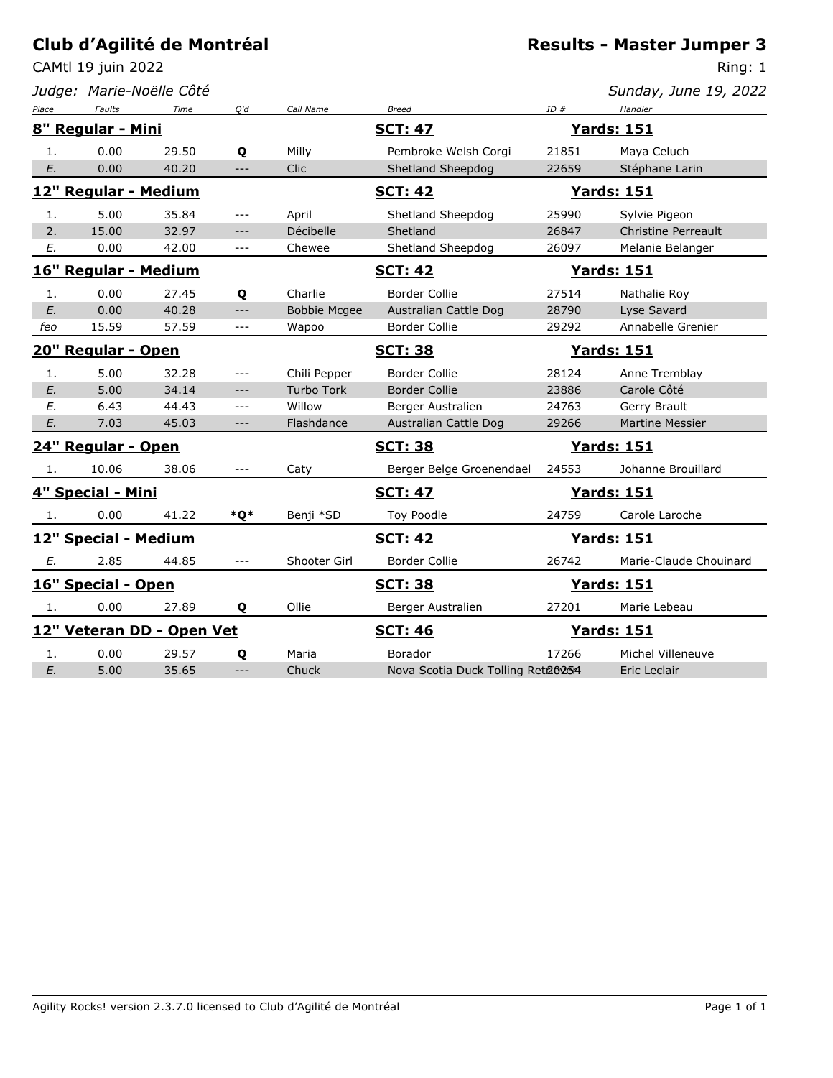CAMtl 19 juin 2022

*Judge: Marie-Noëlle Côté*

### **Results - Master Jumper 3**

Ring: 1

| Place | <b>Faults</b>        | Time                      | Q'd     | Call Name           | <b>Breed</b>                        | ID#   | Handler                    |  |
|-------|----------------------|---------------------------|---------|---------------------|-------------------------------------|-------|----------------------------|--|
|       | 8" Regular - Mini    |                           |         |                     | <b>SCT: 47</b>                      |       | <b>Yards: 151</b>          |  |
| 1.    | 0.00                 | 29.50                     | Q       | Milly               | Pembroke Welsh Corgi                | 21851 | Maya Celuch                |  |
| E.    | 0.00                 | 40.20                     | $---$   | <b>Clic</b>         | Shetland Sheepdog                   | 22659 | Stéphane Larin             |  |
|       | 12" Regular - Medium |                           |         |                     | <b>SCT: 42</b>                      |       | <b>Yards: 151</b>          |  |
| 1.    | 5.00                 | 35.84                     | $---$   | April               | Shetland Sheepdog                   | 25990 | Sylvie Pigeon              |  |
| 2.    | 15.00                | 32.97                     | $---$   | Décibelle           | Shetland                            | 26847 | <b>Christine Perreault</b> |  |
| E.    | 0.00                 | 42.00                     | $---$   | Chewee              | Shetland Sheepdog                   | 26097 | Melanie Belanger           |  |
|       | 16" Regular - Medium |                           |         |                     | <b>SCT: 42</b><br><u>Yards: 151</u> |       |                            |  |
| 1.    | 0.00                 | 27.45                     | Q       | Charlie             | Border Collie                       | 27514 | Nathalie Roy               |  |
| E.    | 0.00                 | 40.28                     | $---$   | <b>Bobbie Mcgee</b> | Australian Cattle Dog               | 28790 | Lyse Savard                |  |
| feo   | 15.59                | 57.59                     | $---$   | Wapoo               | <b>Border Collie</b>                | 29292 | Annabelle Grenier          |  |
|       | 20" Regular - Open   |                           |         |                     | <b>SCT: 38</b>                      |       | <u>Yards: 151</u>          |  |
| 1.    | 5.00                 | 32.28                     | $---$   | Chili Pepper        | Border Collie                       | 28124 | Anne Tremblay              |  |
| E.    | 5.00                 | 34.14                     | $---$   | <b>Turbo Tork</b>   | <b>Border Collie</b>                | 23886 | Carole Côté                |  |
| E.    | 6.43                 | 44.43                     | $---$   | Willow              | Berger Australien                   | 24763 | Gerry Brault               |  |
| E.    | 7.03                 | 45.03                     | $---$   | Flashdance          | Australian Cattle Dog               | 29266 | <b>Martine Messier</b>     |  |
|       | 24" Regular - Open   |                           |         |                     | <b>SCT: 38</b>                      |       | <b>Yards: 151</b>          |  |
| 1.    | 10.06                | 38.06                     |         | Caty                | Berger Belge Groenendael            | 24553 | Johanne Brouillard         |  |
|       | 4" Special - Mini    |                           |         |                     | <b>SCT: 47</b>                      |       | <b>Yards: 151</b>          |  |
| 1.    | 0.00                 | 41.22                     | *Q*     | Benji *SD           | Toy Poodle                          | 24759 | Carole Laroche             |  |
|       | 12" Special - Medium |                           |         |                     | <b>SCT: 42</b>                      |       | <b>Yards: 151</b>          |  |
| Ε.    | 2.85                 | 44.85                     | $- - -$ | Shooter Girl        | <b>Border Collie</b>                | 26742 | Marie-Claude Chouinard     |  |
|       | 16" Special - Open   |                           |         |                     | <b>SCT: 38</b>                      |       | <b>Yards: 151</b>          |  |
| 1.    | 0.00                 | 27.89                     | Q       | Ollie               | Berger Australien                   | 27201 | Marie Lebeau               |  |
|       |                      | 12" Veteran DD - Open Vet |         |                     | <b>SCT: 46</b>                      |       | <b>Yards: 151</b>          |  |
| 1.    | 0.00                 | 29.57                     | Q       | Maria               | Borador                             | 17266 | Michel Villeneuve          |  |
| E.    | 5.00                 | 35.65                     | $---$   | Chuck               | Nova Scotia Duck Tolling Reta@254   |       | Eric Leclair               |  |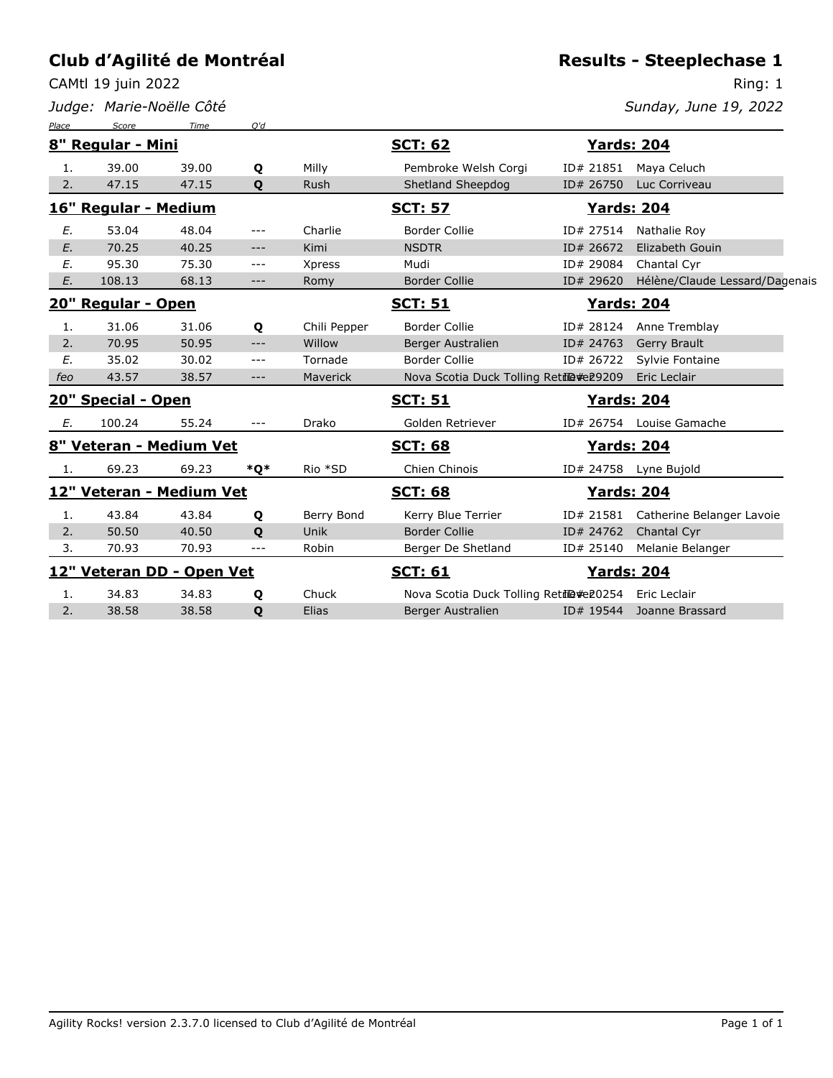CAMtl 19 juin 2022

*Judge: Marie-Noëlle Côté*

# **Results - Steeplechase 1**

Ring: 1

| Place | Score                     | Time  | O'd   |              |                                        |           |                                |
|-------|---------------------------|-------|-------|--------------|----------------------------------------|-----------|--------------------------------|
|       | 8" Regular - Mini         |       |       |              | <b>SCT: 62</b>                         |           | <b>Yards: 204</b>              |
| 1.    | 39.00                     | 39.00 | Q     | Milly        | Pembroke Welsh Corgi                   | ID# 21851 | Maya Celuch                    |
| 2.    | 47.15                     | 47.15 | Q     | Rush         | Shetland Sheepdog                      | ID# 26750 | Luc Corriveau                  |
|       | 16" Regular - Medium      |       |       |              | <u>SCT: 57</u>                         |           | <u>Yards: 204</u>              |
| E.    | 53.04                     | 48.04 | $---$ | Charlie      | <b>Border Collie</b>                   |           | ID# 27514 Nathalie Roy         |
| E.    | 70.25                     | 40.25 | $---$ | Kimi         | <b>NSDTR</b>                           | ID# 26672 | Elizabeth Gouin                |
| E.    | 95.30                     | 75.30 | $---$ | Xpress       | Mudi                                   | ID# 29084 | Chantal Cyr                    |
| E.    | 108.13                    | 68.13 | $---$ | Romy         | <b>Border Collie</b>                   | ID# 29620 | Hélène/Claude Lessard/Dagenais |
|       | 20" Regular - Open        |       |       |              | <b>SCT: 51</b>                         |           | <b>Yards: 204</b>              |
| 1.    | 31.06                     | 31.06 | Q     | Chili Pepper | <b>Border Collie</b>                   | ID# 28124 | Anne Tremblay                  |
| 2.    | 70.95                     | 50.95 | $---$ | Willow       | Berger Australien                      | ID# 24763 | Gerry Brault                   |
| E.    | 35.02                     | 30.02 | $---$ | Tornade      | <b>Border Collie</b>                   | ID# 26722 | Sylvie Fontaine                |
| feo   | 43.57                     | 38.57 | $---$ | Maverick     | Nova Scotia Duck Tolling Retil@#e29209 |           | Eric Leclair                   |
|       | 20" Special - Open        |       |       |              | <b>SCT: 51</b>                         |           | <u>Yards: 204</u>              |
| Е.    | 100.24                    | 55.24 | $---$ | Drako        | Golden Retriever                       | ID# 26754 | Louise Gamache                 |
|       | 8" Veteran - Medium Vet   |       |       |              | <b>SCT: 68</b>                         |           | <b>Yards: 204</b>              |
| 1.    | 69.23                     | 69.23 | $*o*$ | Rio *SD      | Chien Chinois                          | ID# 24758 | Lyne Bujold                    |
|       | 12" Veteran - Medium Vet  |       |       |              | <b>SCT: 68</b>                         |           | <b>Yards: 204</b>              |
| 1.    | 43.84                     | 43.84 | Q     | Berry Bond   | Kerry Blue Terrier                     | ID# 21581 | Catherine Belanger Lavoie      |
| 2.    | 50.50                     | 40.50 | Q     | Unik         | <b>Border Collie</b>                   | ID# 24762 | Chantal Cyr                    |
| 3.    | 70.93                     | 70.93 | $---$ | Robin        | Berger De Shetland                     | ID# 25140 | Melanie Belanger               |
|       | 12" Veteran DD - Open Vet |       |       |              | <b>SCT: 61</b>                         |           | <u> Yards: 204</u>             |
| 1.    | 34.83                     | 34.83 | Q     | Chuck        | Nova Scotia Duck Tolling Retil@#e20254 |           | Eric Leclair                   |
| 2.    | 38.58                     | 38.58 | Q     | Elias        | <b>Berger Australien</b>               | ID# 19544 | Joanne Brassard                |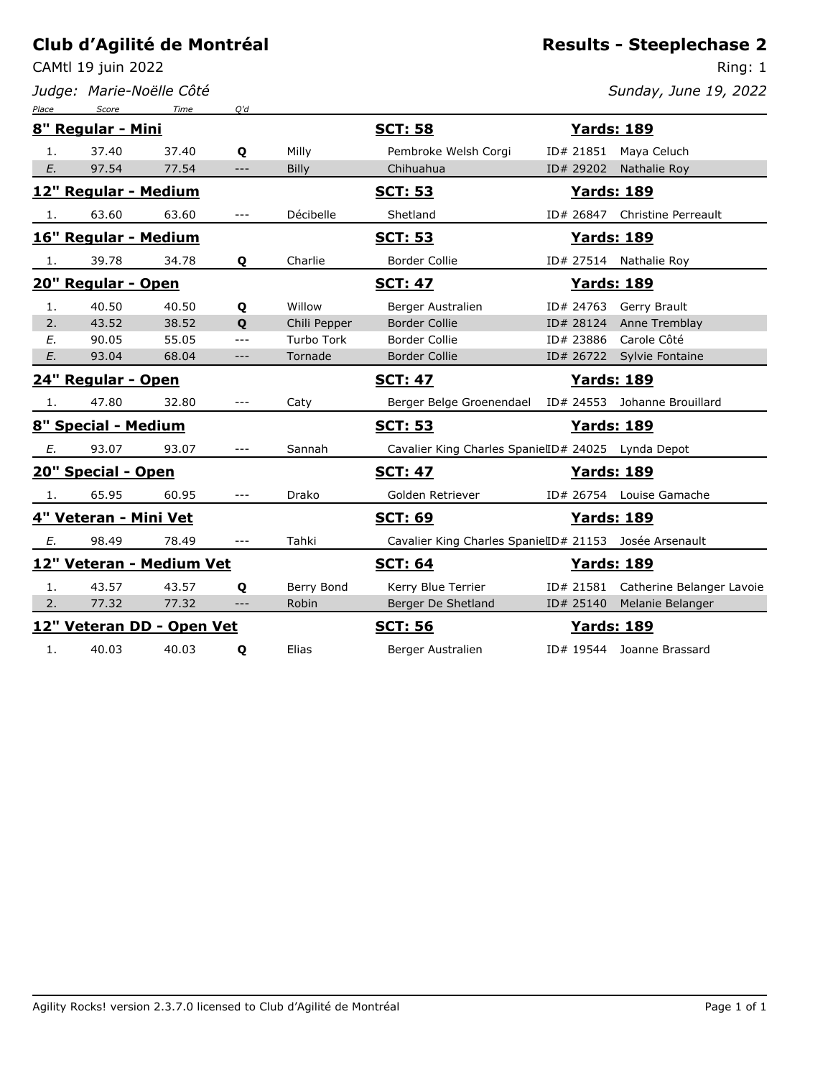CAMtl 19 juin 2022

*Judge: Marie-Noëlle Côté*

#### **Results - Steeplechase 2**

Ring: 1 *Sunday, June 19, 2022*

| Place | Score                     | Time  | O'd   |              |                                                        |                   |                               |
|-------|---------------------------|-------|-------|--------------|--------------------------------------------------------|-------------------|-------------------------------|
|       | 8" Regular - Mini         |       |       |              | <b>SCT: 58</b>                                         |                   | <b>Yards: 189</b>             |
| 1.    | 37.40                     | 37.40 | Q     | Milly        | Pembroke Welsh Corgi                                   | ID# 21851         | Maya Celuch                   |
| E.    | 97.54                     | 77.54 | $---$ | <b>Billy</b> | Chihuahua                                              | ID# 29202         | Nathalie Roy                  |
|       | 12" Regular - Medium      |       |       |              | <u>SCT: 53</u>                                         | <b>Yards: 189</b> |                               |
| -1.   | 63.60                     | 63.60 | $---$ | Décibelle    | Shetland                                               |                   | ID# 26847 Christine Perreault |
|       | 16" Regular - Medium      |       |       |              | <b>SCT: 53</b>                                         | <b>Yards: 189</b> |                               |
| -1.   | 39.78                     | 34.78 | Q     | Charlie      | <b>Border Collie</b>                                   |                   | ID# 27514 Nathalie Roy        |
|       | 20" Regular - Open        |       |       |              | <b>SCT: 47</b>                                         |                   | <b>Yards: 189</b>             |
| 1.    | 40.50                     | 40.50 | Q     | Willow       | Berger Australien                                      |                   | ID# 24763 Gerry Brault        |
| 2.    | 43.52                     | 38.52 | Q     | Chili Pepper | <b>Border Collie</b>                                   | ID# 28124         | Anne Tremblay                 |
| E.    | 90.05                     | 55.05 | $---$ | Turbo Tork   | <b>Border Collie</b>                                   | ID# 23886         | Carole Côté                   |
| E.    | 93.04                     | 68.04 | $---$ | Tornade      | <b>Border Collie</b>                                   | ID# 26722         | Sylvie Fontaine               |
|       | 24" Regular - Open        |       |       |              | <u>SCT: 47</u>                                         | <b>Yards: 189</b> |                               |
| -1.   | 47.80                     | 32.80 | $---$ | Caty         | Berger Belge Groenendael                               |                   | ID# 24553 Johanne Brouillard  |
|       | 8" Special - Medium       |       |       |              | <b>SCT: 53</b>                                         | <b>Yards: 189</b> |                               |
| Ε.    | 93.07                     | 93.07 | $---$ | Sannah       | Cavalier King Charles SpanielID# 24025 Lynda Depot     |                   |                               |
|       | 20" Special - Open        |       |       |              | <b>SCT: 47</b>                                         |                   | <b>Yards: 189</b>             |
| 1.    | 65.95                     | 60.95 | $---$ | Drako        | Golden Retriever                                       |                   | ID# 26754 Louise Gamache      |
|       | 4" Veteran - Mini Vet     |       |       |              | <b>SCT: 69</b>                                         | <b>Yards: 189</b> |                               |
| Е.    | 98.49                     | 78.49 | $---$ | Tahki        | Cavalier King Charles SpanielID# 21153 Josée Arsenault |                   |                               |
|       | 12" Veteran - Medium Vet  |       |       |              | <b>SCT: 64</b>                                         | <b>Yards: 189</b> |                               |
| 1.    | 43.57                     | 43.57 | Q     | Berry Bond   | Kerry Blue Terrier                                     | ID# 21581         | Catherine Belanger Lavoie     |
| 2.    | 77.32                     | 77.32 | $---$ | Robin        | Berger De Shetland                                     | ID# 25140         | Melanie Belanger              |
|       | 12" Veteran DD - Open Vet |       |       |              | <b>SCT: 56</b>                                         | <b>Yards: 189</b> |                               |
| 1.    | 40.03                     | 40.03 | Q     | Elias        | Berger Australien                                      |                   | ID# 19544 Joanne Brassard     |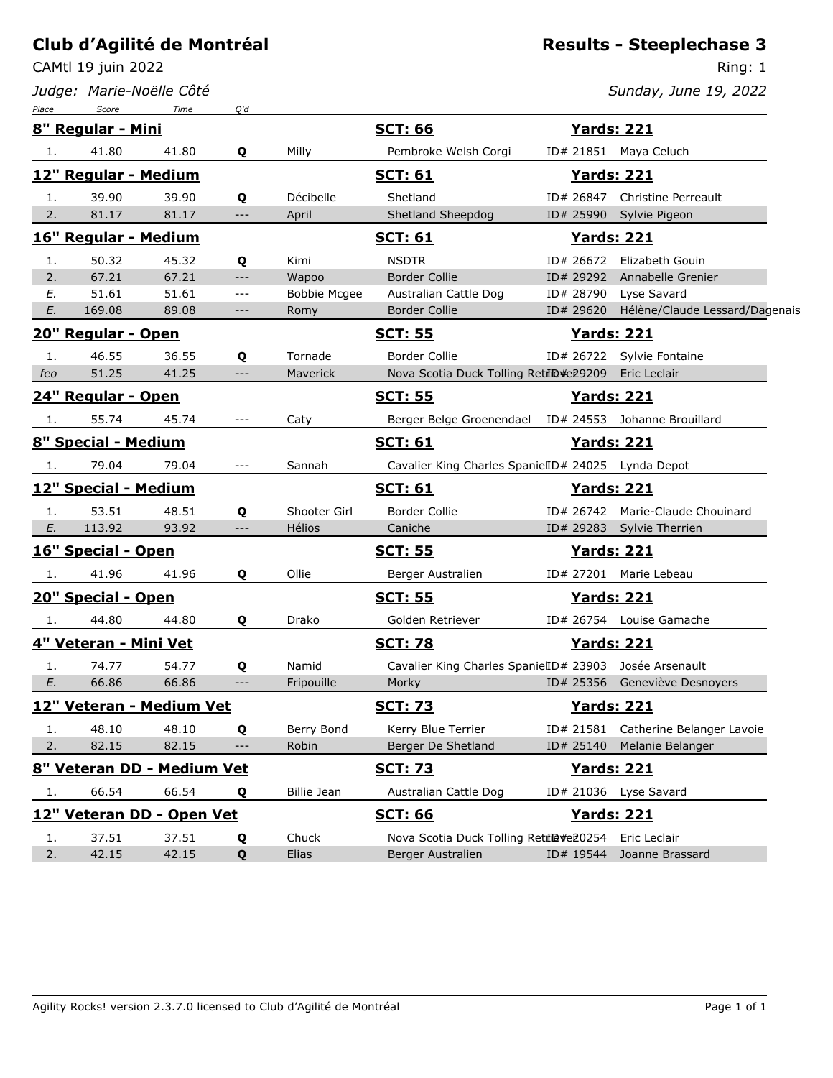CAMtl 19 juin 2022

*Judge: Marie-Noëlle Côté*

#### **Results - Steeplechase 3**

Ring: 1 *Sunday, June 19, 2022*

| Place | Score                      | Time  | O'd   |                     |                                                        |                    |                                     |
|-------|----------------------------|-------|-------|---------------------|--------------------------------------------------------|--------------------|-------------------------------------|
|       | 8" Regular - Mini          |       |       |                     | <b>SCT: 66</b>                                         | <b>Yards: 221</b>  |                                     |
| 1.    | 41.80                      | 41.80 | Q     | Milly               | Pembroke Welsh Corgi                                   |                    | ID# 21851 Maya Celuch               |
|       | 12" Regular - Medium       |       |       |                     | <u>SCT: 61</u>                                         | <u> Yards: 221</u> |                                     |
| 1.    | 39.90                      | 39.90 | Q     | Décibelle           | Shetland                                               | ID# 26847          | <b>Christine Perreault</b>          |
| 2.    | 81.17                      | 81.17 | $---$ | April               | Shetland Sheepdog                                      | ID# 25990          | Sylvie Pigeon                       |
|       | 16" Regular - Medium       |       |       |                     | <u>SCT: 61</u>                                         | <u>Yards: 221</u>  |                                     |
| 1.    | 50.32                      | 45.32 | Q     | Kimi                | <b>NSDTR</b>                                           |                    | ID# 26672 Elizabeth Gouin           |
| 2.    | 67.21                      | 67.21 | $---$ | Wapoo               | <b>Border Collie</b>                                   | ID# 29292          | Annabelle Grenier                   |
| E.    | 51.61                      | 51.61 | $---$ | <b>Bobbie Mcgee</b> | Australian Cattle Dog                                  | ID# 28790          | Lyse Savard                         |
| E.    | 169.08                     | 89.08 | $---$ | Romy                | <b>Border Collie</b>                                   | ID# 29620          | Hélène/Claude Lessard/Dagenais      |
|       | 20" Regular - Open         |       |       |                     | <u>SCT: 55</u>                                         | <u>Yards: 221</u>  |                                     |
| 1.    | 46.55                      | 36.55 | Q     | Tornade             | <b>Border Collie</b>                                   |                    | ID# 26722 Sylvie Fontaine           |
| feo   | 51.25                      | 41.25 | $---$ | Maverick            | Nova Scotia Duck Tolling Retil@#e29209                 |                    | Eric Leclair                        |
|       | 24" Regular - Open         |       |       |                     | <b>SCT: 55</b>                                         | <b>Yards: 221</b>  |                                     |
| 1.    | 55.74                      | 45.74 | $---$ | Caty                | Berger Belge Groenendael                               |                    | ID# 24553 Johanne Brouillard        |
|       | 8" Special - Medium        |       |       |                     | <b>SCT: 61</b>                                         | <u>Yards: 221</u>  |                                     |
| 1.    | 79.04                      | 79.04 | $---$ | Sannah              | Cavalier King Charles SpanielID# 24025 Lynda Depot     |                    |                                     |
|       | 12" Special - Medium       |       |       |                     | <b>SCT: 61</b>                                         | <b>Yards: 221</b>  |                                     |
| 1.    | 53.51                      | 48.51 | Q     | Shooter Girl        | Border Collie                                          | ID# 26742          | Marie-Claude Chouinard              |
| E.    | 113.92                     | 93.92 | $---$ | Hélios              | Caniche                                                | ID# 29283          | Sylvie Therrien                     |
|       | 16" Special - Open         |       |       |                     | <u>SCT: 55</u>                                         | <b>Yards: 221</b>  |                                     |
| 1.    | 41.96                      | 41.96 | Q     | Ollie               | Berger Australien                                      |                    | ID# 27201 Marie Lebeau              |
|       | 20" Special - Open         |       |       |                     | <b>SCT: 55</b>                                         | <u> Yards: 221</u> |                                     |
| 1.    | 44.80                      | 44.80 | Q     | Drako               | Golden Retriever                                       |                    | ID# 26754 Louise Gamache            |
|       | 4" Veteran - Mini Vet      |       |       |                     | <b>SCT: 78</b>                                         | <b>Yards: 221</b>  |                                     |
| 1.    | 74.77                      | 54.77 | Q     | Namid               | Cavalier King Charles SpanielID# 23903 Josée Arsenault |                    |                                     |
| E.    | 66.86                      | 66.86 | $---$ | Fripouille          | Morky                                                  |                    | ID# 25356 Geneviève Desnoyers       |
|       | 12" Veteran - Medium Vet   |       |       |                     | <b>SCT: 73</b>                                         | <b>Yards: 221</b>  |                                     |
| 1.    | 48.10                      | 48.10 | Q     | Berry Bond          | Kerry Blue Terrier                                     |                    | ID# 21581 Catherine Belanger Lavoie |
| 2.    | 82.15                      | 82.15 | ---   | Robin               | Berger De Shetland                                     | ID# 25140          | Melanie Belanger                    |
|       | 8" Veteran DD - Medium Vet |       |       |                     | <b>SCT: 73</b>                                         | <b>Yards: 221</b>  |                                     |
| 1.    | 66.54                      | 66.54 | Q     | Billie Jean         | Australian Cattle Dog                                  |                    | ID# 21036 Lyse Savard               |
|       | 12" Veteran DD - Open Vet  |       |       |                     | <b>SCT: 66</b>                                         | <b>Yards: 221</b>  |                                     |
| 1.    | 37.51                      | 37.51 | Q     | Chuck               | Nova Scotia Duck Tolling Retile#e20254 Eric Leclair    |                    |                                     |
| 2.    | 42.15                      | 42.15 | Q     | Elias               | Berger Australien                                      |                    | ID# 19544 Joanne Brassard           |